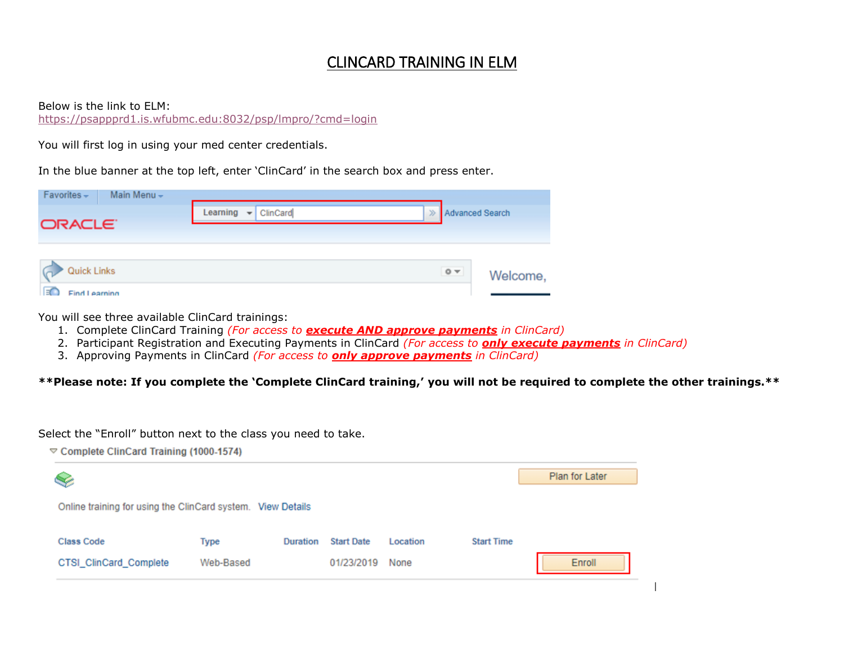## CLINCARD TRAINING IN ELM

Below is the link to ELM:

<https://psappprd1.is.wfubmc.edu:8032/psp/lmpro/?cmd=login>

You will first log in using your med center credentials.

In the blue banner at the top left, enter 'ClinCard' in the search box and press enter.

| $Favorites -$<br>Main Menu -    |                                                                           |  |  |                |          |
|---------------------------------|---------------------------------------------------------------------------|--|--|----------------|----------|
|                                 | Learning<br>ClinCard<br>$\gg$ Advanced Search<br>$\overline{\phantom{a}}$ |  |  |                |          |
| ORACLE <sup>®</sup>             |                                                                           |  |  |                |          |
|                                 |                                                                           |  |  |                |          |
| <b>Quick Links</b>              |                                                                           |  |  | $\odot$ $\sim$ | Welcome, |
| $\overline{R}$<br>Find Learning |                                                                           |  |  |                |          |

You will see three available ClinCard trainings:

- 1. Complete ClinCard Training *(For access to execute AND approve payments in ClinCard)*
- 2. Participant Registration and Executing Payments in ClinCard *(For access to only execute payments in ClinCard)*
- 3. Approving Payments in ClinCard *(For access to only approve payments in ClinCard)*

**\*\*Please note: If you complete the 'Complete ClinCard training,' you will not be required to complete the other trainings.\*\***

Select the "Enroll" button next to the class you need to take.

 $\heartsuit$  Complete ClinCard Training (1000-1574)

| S                                                           |           |          |                   |          |                   | Plan for Later |  |
|-------------------------------------------------------------|-----------|----------|-------------------|----------|-------------------|----------------|--|
| Online training for using the ClinCard system. View Details |           |          |                   |          |                   |                |  |
| <b>Class Code</b>                                           | Type      | Duration | <b>Start Date</b> | Location | <b>Start Time</b> |                |  |
| CTSI_ClinCard_Complete                                      | Web-Based |          | 01/23/2019        | None     |                   | <b>Enroll</b>  |  |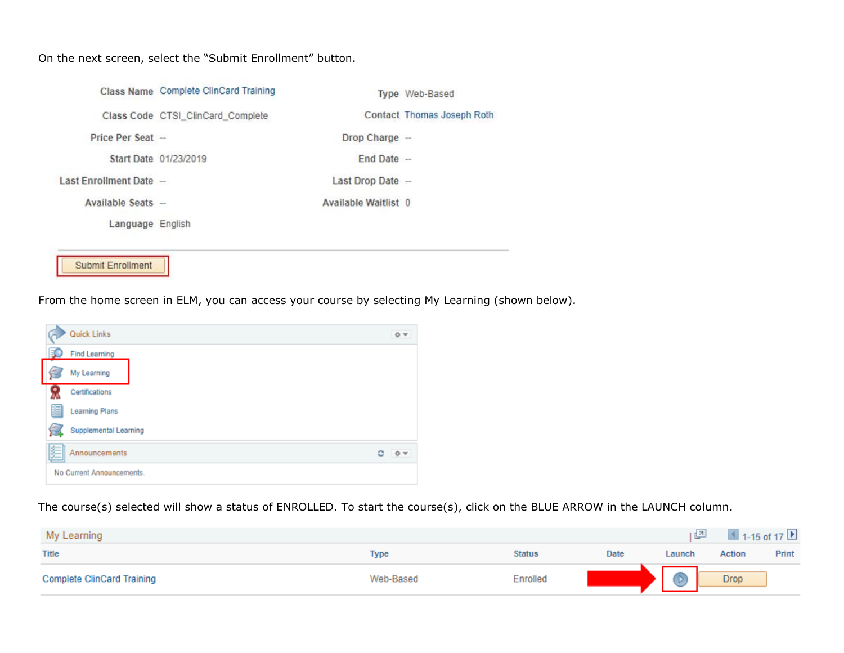On the next screen, select the "Submit Enrollment" button.

|                          | Class Name Complete ClinCard Training |                      | Type Web-Based             |
|--------------------------|---------------------------------------|----------------------|----------------------------|
|                          | Class Code CTSI_ClinCard_Complete     |                      | Contact Thomas Joseph Roth |
| Price Per Seat -         |                                       | Drop Charge -        |                            |
|                          | Start Date 01/23/2019                 | $End$ Date $-$       |                            |
| Last Enrollment Date -   |                                       | Last Drop Date -     |                            |
| Available Seats -        |                                       | Available Waitlist 0 |                            |
| Language English         |                                       |                      |                            |
|                          |                                       |                      |                            |
| <b>Submit Enrollment</b> |                                       |                      |                            |

From the home screen in ELM, you can access your course by selecting My Learning (shown below).

|   | Quick Links               |   | O <sub>x</sub> |
|---|---------------------------|---|----------------|
|   | <b>Find Learning</b>      |   |                |
|   | My Learning               |   |                |
|   | Certifications            |   |                |
| e | <b>Learning Plans</b>     |   |                |
|   | Supplemental Learning     |   |                |
|   | Announcements             | ٥ | $\circ$        |
|   | No Current Announcements. |   |                |

The course(s) selected will show a status of ENROLLED. To start the course(s), click on the BLUE ARROW in the LAUNCH column.

| My Learning                       |           |               |      | 四      | $\overline{4}$ 1-15 of 17 |       |
|-----------------------------------|-----------|---------------|------|--------|---------------------------|-------|
| <b>Title</b>                      | Type      | <b>Status</b> | Date | Launch | <b>Action</b>             | Print |
| <b>Complete ClinCard Training</b> | Web-Based | Enrolled      |      |        | <b>Drop</b>               |       |